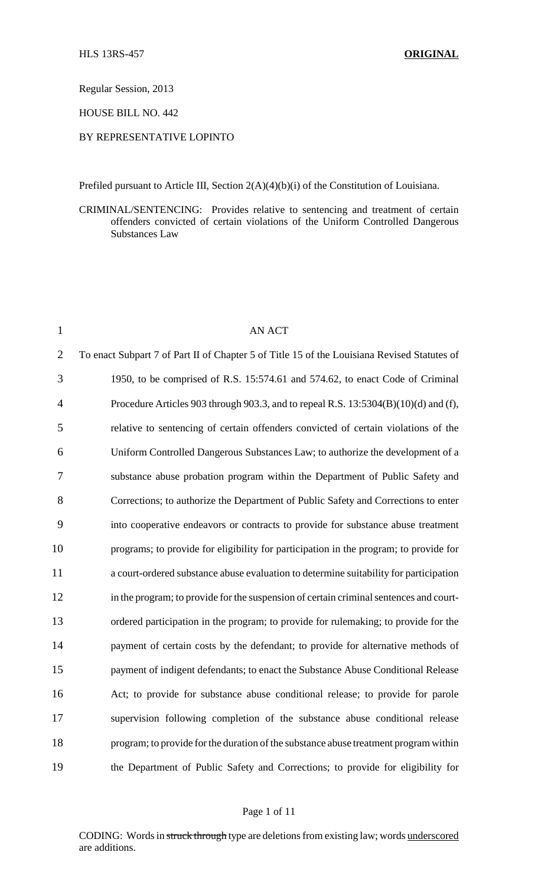Regular Session, 2013

HOUSE BILL NO. 442

### BY REPRESENTATIVE LOPINTO

Prefiled pursuant to Article III, Section 2(A)(4)(b)(i) of the Constitution of Louisiana.

CRIMINAL/SENTENCING: Provides relative to sentencing and treatment of certain offenders convicted of certain violations of the Uniform Controlled Dangerous Substances Law

| $\mathbf{1}$   | <b>AN ACT</b>                                                                               |
|----------------|---------------------------------------------------------------------------------------------|
| $\overline{2}$ | To enact Subpart 7 of Part II of Chapter 5 of Title 15 of the Louisiana Revised Statutes of |
| 3              | 1950, to be comprised of R.S. 15:574.61 and 574.62, to enact Code of Criminal               |
| $\overline{4}$ | Procedure Articles 903 through 903.3, and to repeal R.S. 13:5304(B)(10)(d) and (f),         |
| 5              | relative to sentencing of certain offenders convicted of certain violations of the          |
| 6              | Uniform Controlled Dangerous Substances Law; to authorize the development of a              |
| 7              | substance abuse probation program within the Department of Public Safety and                |
| 8              | Corrections; to authorize the Department of Public Safety and Corrections to enter          |
| 9              | into cooperative endeavors or contracts to provide for substance abuse treatment            |
| 10             | programs; to provide for eligibility for participation in the program; to provide for       |
| 11             | a court-ordered substance abuse evaluation to determine suitability for participation       |
| 12             | in the program; to provide for the suspension of certain criminal sentences and court-      |
| 13             | ordered participation in the program; to provide for rulemaking; to provide for the         |
| 14             | payment of certain costs by the defendant; to provide for alternative methods of            |
| 15             | payment of indigent defendants; to enact the Substance Abuse Conditional Release            |
| 16             | Act; to provide for substance abuse conditional release; to provide for parole              |
| 17             | supervision following completion of the substance abuse conditional release                 |
| 18             | program; to provide for the duration of the substance abuse treatment program within        |
| 19             | the Department of Public Safety and Corrections; to provide for eligibility for             |

### Page 1 of 11

CODING: Words in struck through type are deletions from existing law; words underscored are additions.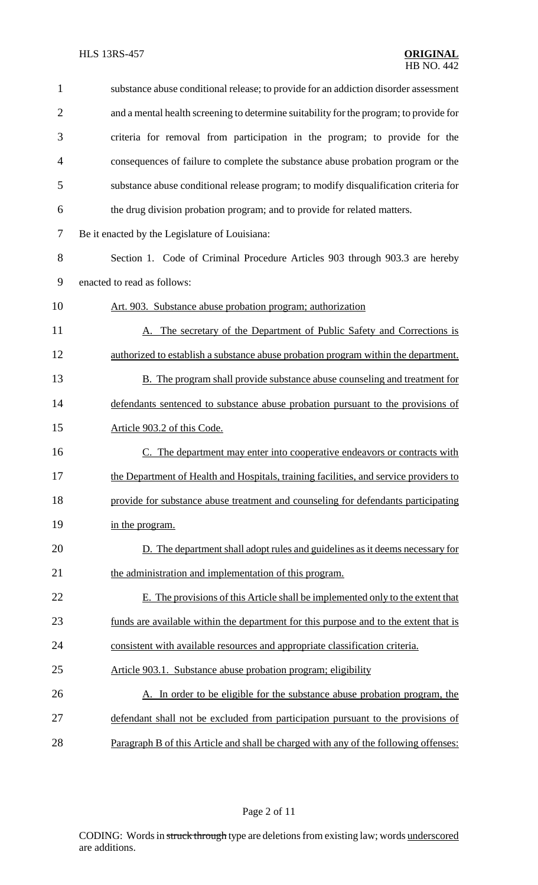| $\mathbf{1}$   | substance abuse conditional release; to provide for an addiction disorder assessment   |
|----------------|----------------------------------------------------------------------------------------|
| $\overline{2}$ | and a mental health screening to determine suitability for the program; to provide for |
| 3              | criteria for removal from participation in the program; to provide for the             |
| $\overline{4}$ | consequences of failure to complete the substance abuse probation program or the       |
| 5              | substance abuse conditional release program; to modify disqualification criteria for   |
| 6              | the drug division probation program; and to provide for related matters.               |
| 7              | Be it enacted by the Legislature of Louisiana:                                         |
| 8              | Section 1. Code of Criminal Procedure Articles 903 through 903.3 are hereby            |
| 9              | enacted to read as follows:                                                            |
| 10             | Art. 903. Substance abuse probation program; authorization                             |
| 11             | A. The secretary of the Department of Public Safety and Corrections is                 |
| 12             | authorized to establish a substance abuse probation program within the department.     |
| 13             | <b>B.</b> The program shall provide substance abuse counseling and treatment for       |
| 14             | defendants sentenced to substance abuse probation pursuant to the provisions of        |
| 15             | Article 903.2 of this Code.                                                            |
| 16             | C. The department may enter into cooperative endeavors or contracts with               |
| 17             | the Department of Health and Hospitals, training facilities, and service providers to  |
| 18             | provide for substance abuse treatment and counseling for defendants participating      |
| 19             | in the program.                                                                        |
| 20             | D. The department shall adopt rules and guidelines as it deems necessary for           |
| 21             | the administration and implementation of this program.                                 |
| 22             | E. The provisions of this Article shall be implemented only to the extent that         |
| 23             | funds are available within the department for this purpose and to the extent that is   |
| 24             | consistent with available resources and appropriate classification criteria.           |
| 25             | Article 903.1. Substance abuse probation program; eligibility                          |
| 26             | A. In order to be eligible for the substance abuse probation program, the              |
| 27             | defendant shall not be excluded from participation pursuant to the provisions of       |
| 28             | Paragraph B of this Article and shall be charged with any of the following offenses:   |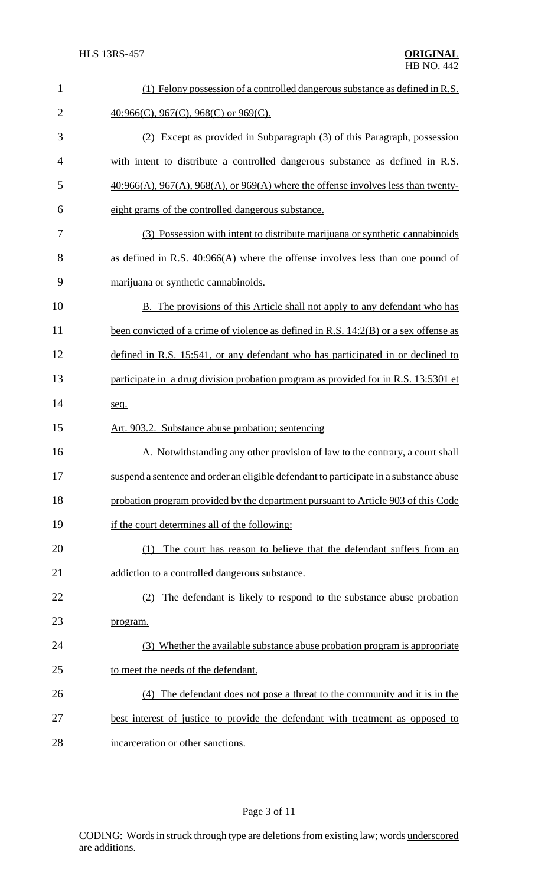| $\mathbf{1}$   | (1) Felony possession of a controlled dangerous substance as defined in R.S.                 |
|----------------|----------------------------------------------------------------------------------------------|
| $\overline{2}$ | $\underline{40:966(C)}$ , $967(C)$ , $968(C)$ or $969(C)$ .                                  |
| 3              | (2) Except as provided in Subparagraph (3) of this Paragraph, possession                     |
| 4              | with intent to distribute a controlled dangerous substance as defined in R.S.                |
| 5              | $40:966(A)$ , $967(A)$ , $968(A)$ , or $969(A)$ where the offense involves less than twenty- |
| 6              | eight grams of the controlled dangerous substance.                                           |
| 7              | (3) Possession with intent to distribute marijuana or synthetic cannabinoids                 |
| 8              | as defined in R.S. $40:966(A)$ where the offense involves less than one pound of             |
| 9              | marijuana or synthetic cannabinoids.                                                         |
| 10             | B. The provisions of this Article shall not apply to any defendant who has                   |
| 11             | been convicted of a crime of violence as defined in R.S. 14:2(B) or a sex offense as         |
| 12             | defined in R.S. 15:541, or any defendant who has participated in or declined to              |
| 13             | participate in a drug division probation program as provided for in R.S. 13:5301 et          |
| 14             | seq.                                                                                         |
| 15             | Art. 903.2. Substance abuse probation; sentencing                                            |
| 16             | Notwithstanding any other provision of law to the contrary, a court shall                    |
| 17             | suspend a sentence and order an eligible defendant to participate in a substance abuse       |
| 18             | probation program provided by the department pursuant to Article 903 of this Code            |
| 19             | if the court determines all of the following:                                                |
| 20             | The court has reason to believe that the defendant suffers from an<br>(1)                    |
| 21             | addiction to a controlled dangerous substance.                                               |
| 22             | The defendant is likely to respond to the substance abuse probation<br>(2)                   |
| 23             | program.                                                                                     |
| 24             | (3) Whether the available substance abuse probation program is appropriate                   |
| 25             | to meet the needs of the defendant.                                                          |
| 26             | (4) The defendant does not pose a threat to the community and it is in the                   |
| 27             | best interest of justice to provide the defendant with treatment as opposed to               |
| 28             | incarceration or other sanctions.                                                            |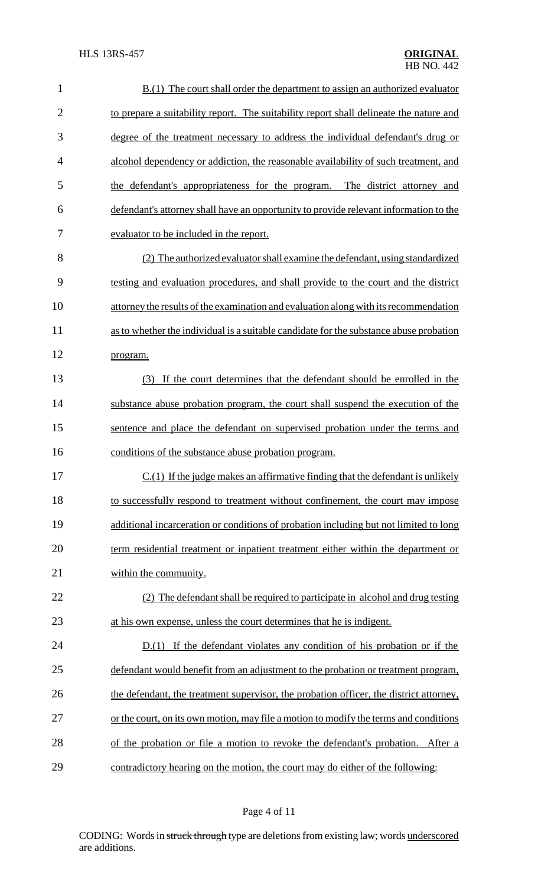| $\mathbf{1}$   | $B(1)$ The court shall order the department to assign an authorized evaluator          |
|----------------|----------------------------------------------------------------------------------------|
| $\overline{2}$ | to prepare a suitability report. The suitability report shall delineate the nature and |
| 3              | degree of the treatment necessary to address the individual defendant's drug or        |
| 4              | alcohol dependency or addiction, the reasonable availability of such treatment, and    |
| 5              | the defendant's appropriateness for the program. The district attorney and             |
| 6              | defendant's attorney shall have an opportunity to provide relevant information to the  |
| 7              | evaluator to be included in the report.                                                |
| 8              | (2) The authorized evaluator shall examine the defendant, using standardized           |
| 9              | testing and evaluation procedures, and shall provide to the court and the district     |
| 10             | attorney the results of the examination and evaluation along with its recommendation   |
| 11             | as to whether the individual is a suitable candidate for the substance abuse probation |
| 12             | program.                                                                               |
| 13             | (3) If the court determines that the defendant should be enrolled in the               |
| 14             | substance abuse probation program, the court shall suspend the execution of the        |
| 15             | sentence and place the defendant on supervised probation under the terms and           |
| 16             | conditions of the substance abuse probation program.                                   |
| 17             | $C(1)$ If the judge makes an affirmative finding that the defendant is unlikely        |
| 18             | to successfully respond to treatment without confinement, the court may impose         |
| 19             | additional incarceration or conditions of probation including but not limited to long  |
| 20             | term residential treatment or inpatient treatment either within the department or      |
| 21             | within the community.                                                                  |
| 22             | (2) The defendant shall be required to participate in alcohol and drug testing         |
| 23             | at his own expense, unless the court determines that he is indigent.                   |
| 24             | $D(1)$ If the defendant violates any condition of his probation or if the              |
| 25             | defendant would benefit from an adjustment to the probation or treatment program,      |
| 26             | the defendant, the treatment supervisor, the probation officer, the district attorney, |
| 27             | or the court, on its own motion, may file a motion to modify the terms and conditions  |
| 28             | of the probation or file a motion to revoke the defendant's probation. After a         |
| 29             | contradictory hearing on the motion, the court may do either of the following:         |

# Page 4 of 11

CODING: Words in struck through type are deletions from existing law; words underscored are additions.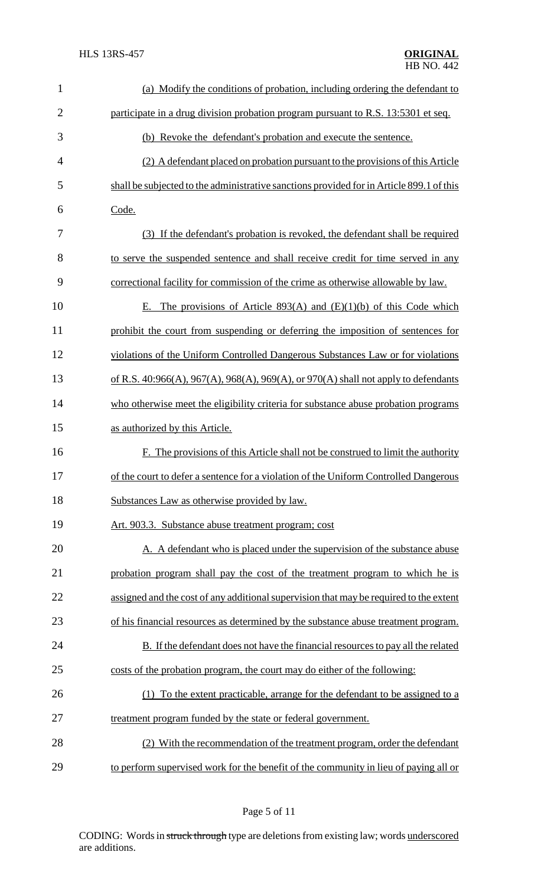| $\mathbf{1}$   | (a) Modify the conditions of probation, including ordering the defendant to              |
|----------------|------------------------------------------------------------------------------------------|
| $\overline{2}$ | participate in a drug division probation program pursuant to R.S. 13:5301 et seq.        |
| 3              | (b) Revoke the defendant's probation and execute the sentence.                           |
| $\overline{4}$ | (2) A defendant placed on probation pursuant to the provisions of this Article           |
| 5              | shall be subjected to the administrative sanctions provided for in Article 899.1 of this |
| 6              | Code.                                                                                    |
| 7              | (3) If the defendant's probation is revoked, the defendant shall be required             |
| 8              | to serve the suspended sentence and shall receive credit for time served in any          |
| 9              | correctional facility for commission of the crime as otherwise allowable by law.         |
| 10             | E. The provisions of Article 893(A) and $(E)(1)(b)$ of this Code which                   |
| 11             | prohibit the court from suspending or deferring the imposition of sentences for          |
| 12             | violations of the Uniform Controlled Dangerous Substances Law or for violations          |
| 13             | of R.S. 40:966(A), 967(A), 968(A), 969(A), or 970(A) shall not apply to defendants       |
| 14             | who otherwise meet the eligibility criteria for substance abuse probation programs       |
| 15             | as authorized by this Article.                                                           |
| 16             | F. The provisions of this Article shall not be construed to limit the authority          |
| 17             | of the court to defer a sentence for a violation of the Uniform Controlled Dangerous     |
| 18             | Substances Law as otherwise provided by law.                                             |
| 19             | Art. 903.3. Substance abuse treatment program; cost                                      |
| 20             | A. A defendant who is placed under the supervision of the substance abuse                |
| 21             | probation program shall pay the cost of the treatment program to which he is             |
| 22             | assigned and the cost of any additional supervision that may be required to the extent   |
| 23             | of his financial resources as determined by the substance abuse treatment program.       |
| 24             | B. If the defendant does not have the financial resources to pay all the related         |
| 25             | costs of the probation program, the court may do either of the following:                |
| 26             | (1) To the extent practicable, arrange for the defendant to be assigned to a             |
| 27             | treatment program funded by the state or federal government.                             |
| 28             | (2) With the recommendation of the treatment program, order the defendant                |
| 29             | to perform supervised work for the benefit of the community in lieu of paying all or     |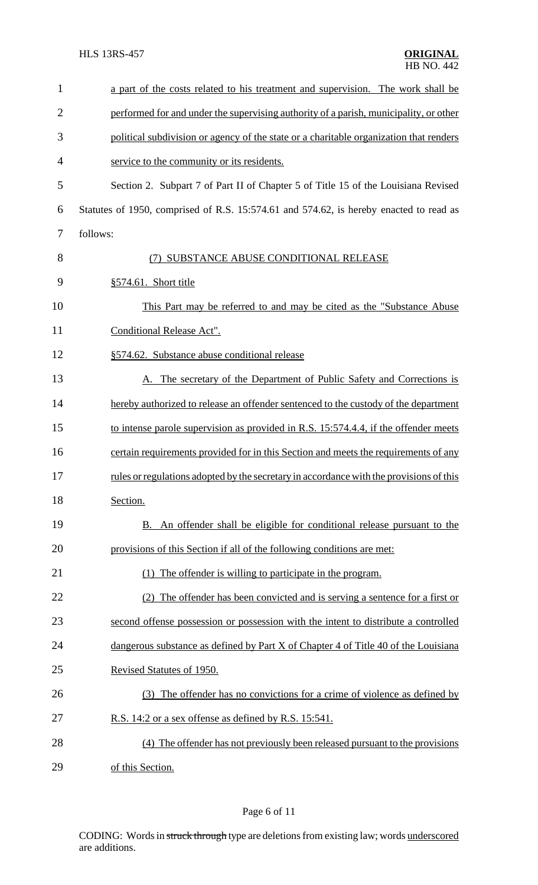| $\mathbf{1}$   | a part of the costs related to his treatment and supervision. The work shall be                |
|----------------|------------------------------------------------------------------------------------------------|
| $\overline{2}$ | performed for and under the supervising authority of a parish, municipality, or other          |
| 3              | political subdivision or agency of the state or a charitable organization that renders         |
| 4              | service to the community or its residents.                                                     |
| 5              | Section 2. Subpart 7 of Part II of Chapter 5 of Title 15 of the Louisiana Revised              |
| 6              | Statutes of 1950, comprised of R.S. 15:574.61 and 574.62, is hereby enacted to read as         |
| 7              | follows:                                                                                       |
| 8              | SUBSTANCE ABUSE CONDITIONAL RELEASE                                                            |
| 9              | §574.61. Short title                                                                           |
| 10             | This Part may be referred to and may be cited as the "Substance Abuse"                         |
| 11             | Conditional Release Act".                                                                      |
| 12             | §574.62. Substance abuse conditional release                                                   |
| 13             | A. The secretary of the Department of Public Safety and Corrections is                         |
| 14             | hereby authorized to release an offender sentenced to the custody of the department            |
| 15             | to intense parole supervision as provided in R.S. 15:574.4.4, if the offender meets            |
| 16             | certain requirements provided for in this Section and meets the requirements of any            |
| 17             | <u>rules or regulations adopted by the secretary in accordance with the provisions of this</u> |
| 18             | Section.                                                                                       |
| 19             | B. An offender shall be eligible for conditional release pursuant to the                       |
| 20             | provisions of this Section if all of the following conditions are met:                         |
| 21             | (1) The offender is willing to participate in the program.                                     |
| 22             | (2) The offender has been convicted and is serving a sentence for a first or                   |
| 23             | second offense possession or possession with the intent to distribute a controlled             |
| 24             | dangerous substance as defined by Part X of Chapter 4 of Title 40 of the Louisiana             |
| 25             | Revised Statutes of 1950.                                                                      |
| 26             | (3) The offender has no convictions for a crime of violence as defined by                      |
| 27             | R.S. 14:2 or a sex offense as defined by R.S. 15:541.                                          |
| 28             | (4) The offender has not previously been released pursuant to the provisions                   |
| 29             | of this Section.                                                                               |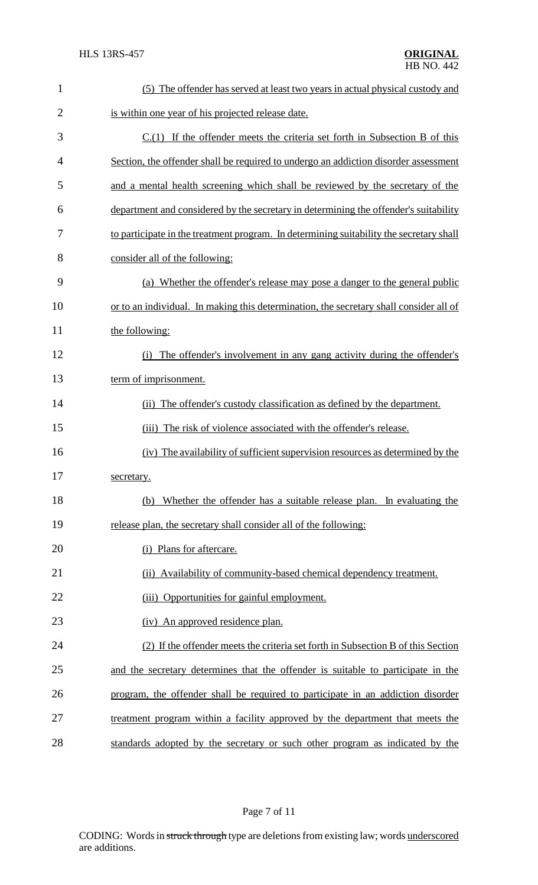| $\mathbf{1}$   | (5) The offender has served at least two years in actual physical custody and           |
|----------------|-----------------------------------------------------------------------------------------|
| $\overline{2}$ | is within one year of his projected release date.                                       |
| 3              | $C(1)$ If the offender meets the criteria set forth in Subsection B of this             |
| 4              | Section, the offender shall be required to undergo an addiction disorder assessment     |
| 5              | and a mental health screening which shall be reviewed by the secretary of the           |
| 6              | department and considered by the secretary in determining the offender's suitability    |
| 7              | to participate in the treatment program. In determining suitability the secretary shall |
| 8              | consider all of the following:                                                          |
| 9              | (a) Whether the offender's release may pose a danger to the general public              |
| 10             | or to an individual. In making this determination, the secretary shall consider all of  |
| 11             | the following:                                                                          |
| 12             | The offender's involvement in any gang activity during the offender's<br>(i)            |
| 13             | term of imprisonment.                                                                   |
| 14             | (ii) The offender's custody classification as defined by the department.                |
| 15             | The risk of violence associated with the offender's release.<br>(iii)                   |
| 16             | (iv) The availability of sufficient supervision resources as determined by the          |
| 17             | secretary.                                                                              |
| 18             | Whether the offender has a suitable release plan. In evaluating the<br>(b)              |
| 19             | release plan, the secretary shall consider all of the following:                        |
| 20             | (i) Plans for aftercare.                                                                |
| 21             | (ii) Availability of community-based chemical dependency treatment.                     |
| 22             | Opportunities for gainful employment.<br>(iii)                                          |
| 23             | (iv) An approved residence plan.                                                        |
| 24             | (2) If the offender meets the criteria set forth in Subsection B of this Section        |
| 25             | and the secretary determines that the offender is suitable to participate in the        |
| 26             | program, the offender shall be required to participate in an addiction disorder         |
| 27             | treatment program within a facility approved by the department that meets the           |
| 28             | standards adopted by the secretary or such other program as indicated by the            |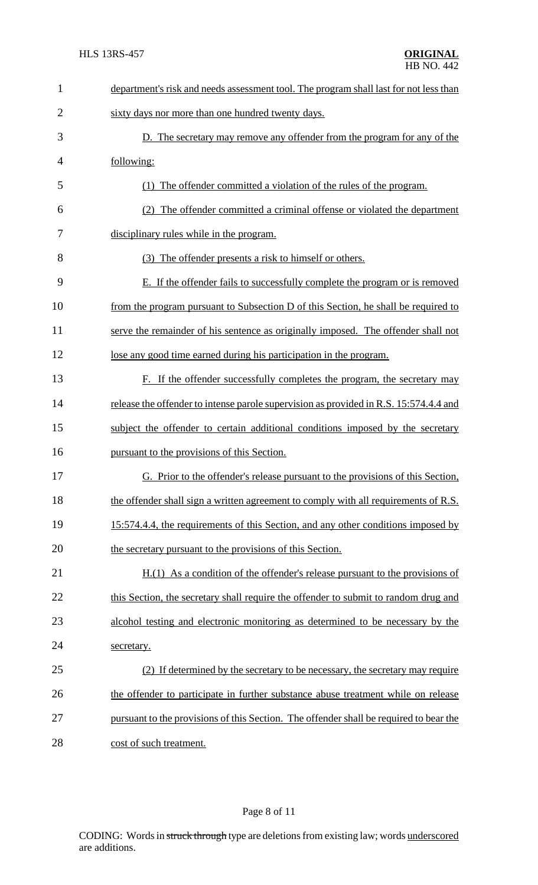| $\mathbf{1}$   | department's risk and needs assessment tool. The program shall last for not less than  |
|----------------|----------------------------------------------------------------------------------------|
| $\overline{2}$ | sixty days nor more than one hundred twenty days.                                      |
| 3              | D. The secretary may remove any offender from the program for any of the               |
| $\overline{4}$ | following:                                                                             |
| 5              | (1) The offender committed a violation of the rules of the program.                    |
| 6              | The offender committed a criminal offense or violated the department<br>(2)            |
| 7              | disciplinary rules while in the program.                                               |
| 8              | (3) The offender presents a risk to himself or others.                                 |
| 9              | E. If the offender fails to successfully complete the program or is removed            |
| 10             | from the program pursuant to Subsection D of this Section, he shall be required to     |
| 11             | serve the remainder of his sentence as originally imposed. The offender shall not      |
| 12             | lose any good time earned during his participation in the program.                     |
| 13             | F. If the offender successfully completes the program, the secretary may               |
| 14             | release the offender to intense parole supervision as provided in R.S. 15:574.4.4 and  |
| 15             | subject the offender to certain additional conditions imposed by the secretary         |
| 16             | pursuant to the provisions of this Section.                                            |
| 17             | G. Prior to the offender's release pursuant to the provisions of this Section,         |
| 18             | the offender shall sign a written agreement to comply with all requirements of R.S.    |
| 19             | 15:574.4.4, the requirements of this Section, and any other conditions imposed by      |
| 20             | the secretary pursuant to the provisions of this Section.                              |
| 21             | $H(1)$ As a condition of the offender's release pursuant to the provisions of          |
| 22             | this Section, the secretary shall require the offender to submit to random drug and    |
| 23             | alcohol testing and electronic monitoring as determined to be necessary by the         |
| 24             | secretary.                                                                             |
| 25             | (2) If determined by the secretary to be necessary, the secretary may require          |
| 26             | the offender to participate in further substance abuse treatment while on release      |
| 27             | pursuant to the provisions of this Section. The offender shall be required to bear the |
| 28             | cost of such treatment.                                                                |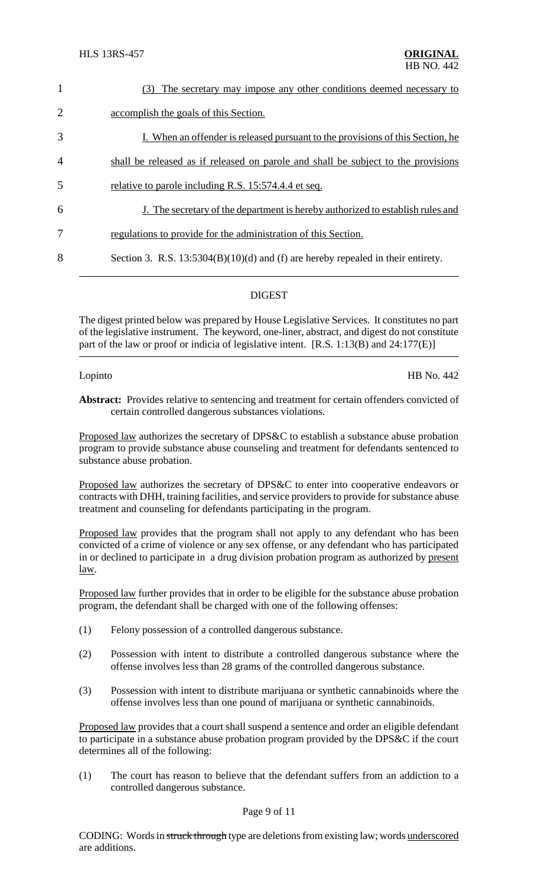| $\mathbf{1}$   | The secretary may impose any other conditions deemed necessary to<br>(3)           |
|----------------|------------------------------------------------------------------------------------|
| $\overline{2}$ | accomplish the goals of this Section.                                              |
| 3              | I. When an offender is released pursuant to the provisions of this Section, he     |
| $\overline{4}$ | shall be released as if released on parole and shall be subject to the provisions  |
| 5              | relative to parole including R.S. 15:574.4.4 et seq.                               |
| 6              | J. The secretary of the department is hereby authorized to establish rules and     |
| 7              | regulations to provide for the administration of this Section.                     |
| 8              | Section 3. R.S. $13:5304(B)(10)(d)$ and (f) are hereby repealed in their entirety. |
|                |                                                                                    |

## DIGEST

The digest printed below was prepared by House Legislative Services. It constitutes no part of the legislative instrument. The keyword, one-liner, abstract, and digest do not constitute part of the law or proof or indicia of legislative intent. [R.S. 1:13(B) and 24:177(E)]

Lopinto HB No. 442

**Abstract:** Provides relative to sentencing and treatment for certain offenders convicted of certain controlled dangerous substances violations.

Proposed law authorizes the secretary of DPS&C to establish a substance abuse probation program to provide substance abuse counseling and treatment for defendants sentenced to substance abuse probation.

Proposed law authorizes the secretary of DPS&C to enter into cooperative endeavors or contracts with DHH, training facilities, and service providers to provide for substance abuse treatment and counseling for defendants participating in the program.

Proposed law provides that the program shall not apply to any defendant who has been convicted of a crime of violence or any sex offense, or any defendant who has participated in or declined to participate in a drug division probation program as authorized by present law.

Proposed law further provides that in order to be eligible for the substance abuse probation program, the defendant shall be charged with one of the following offenses:

- (1) Felony possession of a controlled dangerous substance.
- (2) Possession with intent to distribute a controlled dangerous substance where the offense involves less than 28 grams of the controlled dangerous substance.
- (3) Possession with intent to distribute marijuana or synthetic cannabinoids where the offense involves less than one pound of marijuana or synthetic cannabinoids.

Proposed law provides that a court shall suspend a sentence and order an eligible defendant to participate in a substance abuse probation program provided by the DPS&C if the court determines all of the following:

(1) The court has reason to believe that the defendant suffers from an addiction to a controlled dangerous substance.

#### Page 9 of 11

CODING: Words in struck through type are deletions from existing law; words underscored are additions.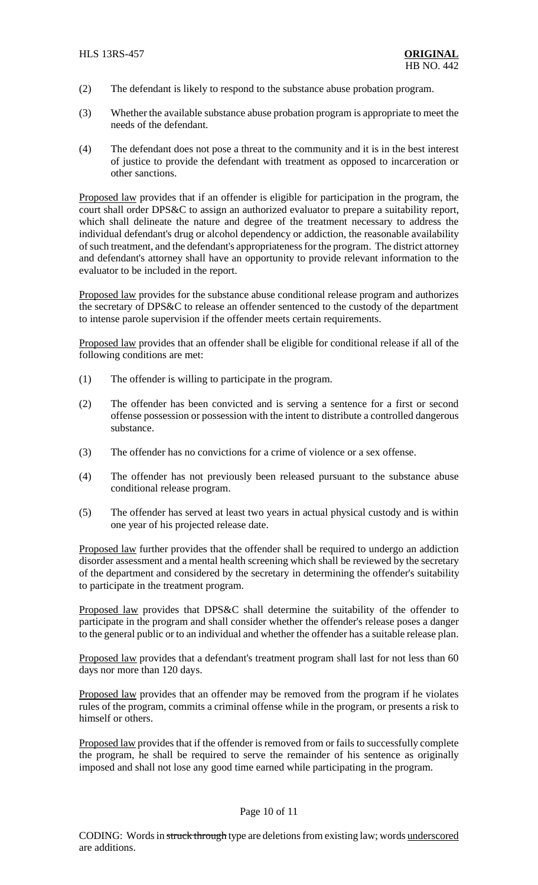- (2) The defendant is likely to respond to the substance abuse probation program.
- (3) Whether the available substance abuse probation program is appropriate to meet the needs of the defendant.
- (4) The defendant does not pose a threat to the community and it is in the best interest of justice to provide the defendant with treatment as opposed to incarceration or other sanctions.

Proposed law provides that if an offender is eligible for participation in the program, the court shall order DPS&C to assign an authorized evaluator to prepare a suitability report, which shall delineate the nature and degree of the treatment necessary to address the individual defendant's drug or alcohol dependency or addiction, the reasonable availability of such treatment, and the defendant's appropriateness for the program. The district attorney and defendant's attorney shall have an opportunity to provide relevant information to the evaluator to be included in the report.

Proposed law provides for the substance abuse conditional release program and authorizes the secretary of DPS&C to release an offender sentenced to the custody of the department to intense parole supervision if the offender meets certain requirements.

Proposed law provides that an offender shall be eligible for conditional release if all of the following conditions are met:

- (1) The offender is willing to participate in the program.
- (2) The offender has been convicted and is serving a sentence for a first or second offense possession or possession with the intent to distribute a controlled dangerous substance.
- (3) The offender has no convictions for a crime of violence or a sex offense.
- (4) The offender has not previously been released pursuant to the substance abuse conditional release program.
- (5) The offender has served at least two years in actual physical custody and is within one year of his projected release date.

Proposed law further provides that the offender shall be required to undergo an addiction disorder assessment and a mental health screening which shall be reviewed by the secretary of the department and considered by the secretary in determining the offender's suitability to participate in the treatment program.

Proposed law provides that DPS&C shall determine the suitability of the offender to participate in the program and shall consider whether the offender's release poses a danger to the general public or to an individual and whether the offender has a suitable release plan.

Proposed law provides that a defendant's treatment program shall last for not less than 60 days nor more than 120 days.

Proposed law provides that an offender may be removed from the program if he violates rules of the program, commits a criminal offense while in the program, or presents a risk to himself or others.

Proposed law provides that if the offender is removed from or fails to successfully complete the program, he shall be required to serve the remainder of his sentence as originally imposed and shall not lose any good time earned while participating in the program.

### Page 10 of 11